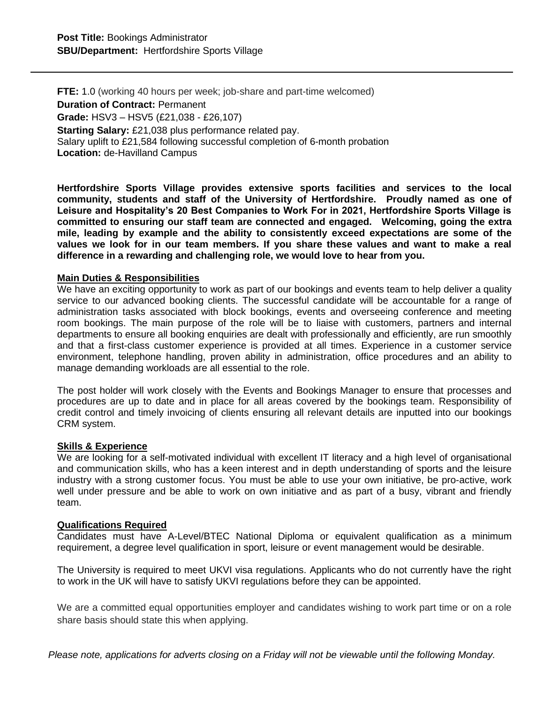**FTE:** 1.0 (working 40 hours per week; job-share and part-time welcomed) **Duration of Contract:** Permanent **Grade:** HSV3 – HSV5 (£21,038 - £26,107) **Starting Salary:** £21,038 plus performance related pay. Salary uplift to £21,584 following successful completion of 6-month probation **Location:** de-Havilland Campus

**Hertfordshire Sports Village provides extensive sports facilities and services to the local community, students and staff of the University of Hertfordshire. Proudly named as one of Leisure and Hospitality's 20 Best Companies to Work For in 2021, Hertfordshire Sports Village is committed to ensuring our staff team are connected and engaged. Welcoming, going the extra mile, leading by example and the ability to consistently exceed expectations are some of the values we look for in our team members. If you share these values and want to make a real difference in a rewarding and challenging role, we would love to hear from you.**

## **Main Duties & Responsibilities**

We have an exciting opportunity to work as part of our bookings and events team to help deliver a quality service to our advanced booking clients. The successful candidate will be accountable for a range of administration tasks associated with block bookings, events and overseeing conference and meeting room bookings. The main purpose of the role will be to liaise with customers, partners and internal departments to ensure all booking enquiries are dealt with professionally and efficiently, are run smoothly and that a first-class customer experience is provided at all times. Experience in a customer service environment, telephone handling, proven ability in administration, office procedures and an ability to manage demanding workloads are all essential to the role.

The post holder will work closely with the Events and Bookings Manager to ensure that processes and procedures are up to date and in place for all areas covered by the bookings team. Responsibility of credit control and timely invoicing of clients ensuring all relevant details are inputted into our bookings CRM system.

## **Skills & Experience**

We are looking for a self-motivated individual with excellent IT literacy and a high level of organisational and communication skills, who has a keen interest and in depth understanding of sports and the leisure industry with a strong customer focus. You must be able to use your own initiative, be pro-active, work well under pressure and be able to work on own initiative and as part of a busy, vibrant and friendly team.

## **Qualifications Required**

Candidates must have A-Level/BTEC National Diploma or equivalent qualification as a minimum requirement, a degree level qualification in sport, leisure or event management would be desirable.

The University is required to meet UKVI visa regulations. Applicants who do not currently have the right to work in the UK will have to satisfy UKVI regulations before they can be appointed.

We are a committed equal opportunities employer and candidates wishing to work part time or on a role share basis should state this when applying.

*Please note, applications for adverts closing on a Friday will not be viewable until the following Monday.*